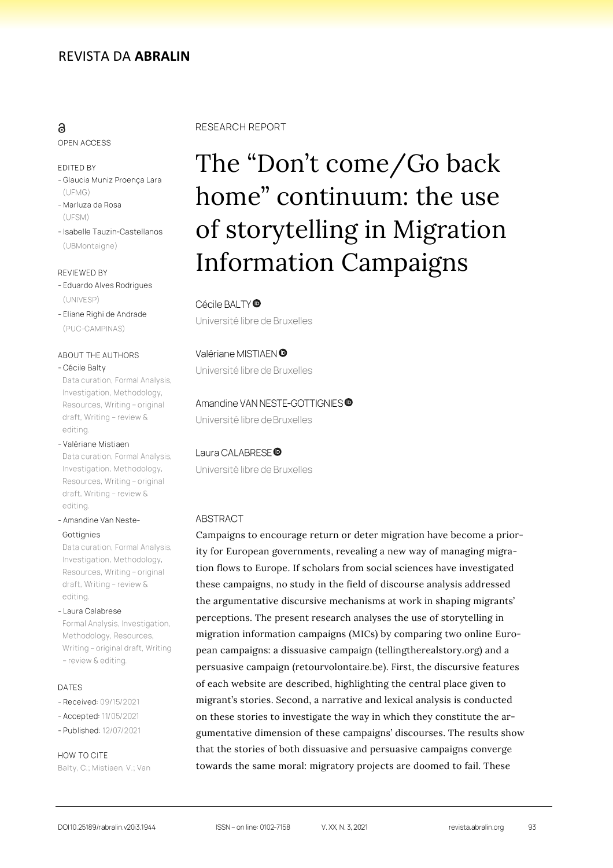# ම

OPEN ACCESS

#### EDITED BY

- Glaucia Muniz Proença Lara  $(LIFMG)$
- Marluza da Rosa (UFSM)
- Isabelle Tauzin-Castellanos (UBMontaigne)

#### REVIEWED BY

- Eduardo Alves Rodrigues (UNIVESP)
- Eliane Righi de Andrade (PUC-CAMPINAS)

#### ABOUT THE AUTHORS

#### - Cécile Balty

Data curation, Formal Analysis, Investigation, Methodology, Resources, Writing - original draft, Writing - review & editing.

#### - Valériane Mistiaen

Data curation, Formal Analysis, Investigation, Methodology, Resources, Writing - original draft, Writing - review & editing.

- Amandine Van Neste-

#### Gottignies

Data curation, Formal Analysis, Investigation, Methodology, Resources, Writing - original draft, Writing - review & editina

- Laura Calabrese Formal Analysis, Investigation, Methodology, Resources, Writing - original draft, Writing - review & editing.

#### **DATES**

- Received: 09/15/2021
- Accepted: 11/05/2021
- Published: 12/07/2021

HOW TO CITE Balty, C.; Mistiaen, V.; Van

#### **RESEARCH REPORT**

# The "Don't come/Go back home" continuum: the use of storytelling in Migration Information Campaigns

#### Cécile BALTY<sup>®</sup>

Université libre de Bruxelles

#### Valériane MISTIAEN<sup>®</sup>

Université libre de Bruxelles

#### Amandine VAN NESTE-GOTTIGNIES<sup>®</sup>

Université libre de Bruxelles

#### Laura CALABRESE<sup>®</sup>

Université libre de Bruxelles

## **ABSTRACT**

Campaigns to encourage return or deter migration have become a priority for European governments, revealing a new way of managing migration flows to Europe. If scholars from social sciences have investigated these campaigns, no study in the field of discourse analysis addressed the argumentative discursive mechanisms at work in shaping migrants' perceptions. The present research analyses the use of storytelling in migration information campaigns (MICs) by comparing two online European campaigns: a dissuasive campaign (tellingtherealstory.org) and a persuasive campaign (retourvolontaire.be). First, the discursive features of each website are described, highlighting the central place given to migrant's stories. Second, a narrative and lexical analysis is conducted on these stories to investigate the way in which they constitute the argumentative dimension of these campaigns' discourses. The results show that the stories of both dissuasive and persuasive campaigns converge towards the same moral: migratory projects are doomed to fail. These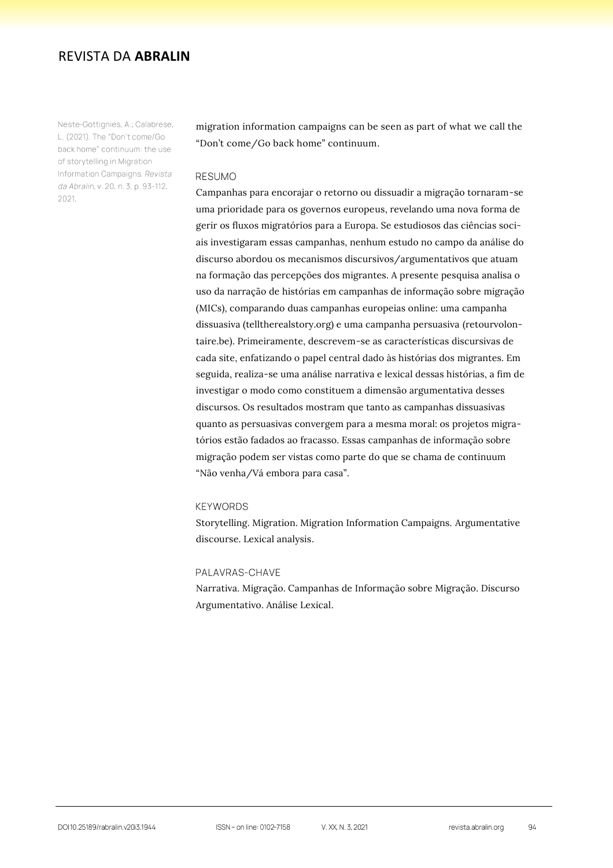Neste-Gottignies, A.; Calabrese, L. (2021). The "Don't come/Go back home" continuum: the use of storytelling in Migration Information Campaigns. Revista da Abralin, v. 20, n. 3, p. 93-112, 2021.

migration information campaigns can be seen as part of what we call the "Don't come/Go back home" continuum.

#### **RESUMO**

Campanhas para encorajar o retorno ou dissuadir a migração tornaram-se uma prioridade para os governos europeus, revelando uma nova forma de gerir os fluxos migratórios para a Europa. Se estudiosos das ciências sociais investigaram essas campanhas, nenhum estudo no campo da análise do discurso abordou os mecanismos discursivos/argumentativos que atuam na formação das percepções dos migrantes. A presente pesquisa analisa o uso da narração de histórias em campanhas de informação sobre migração (MICs), comparando duas campanhas europeias online: uma campanha dissuasiva (telltherealstory.org) e uma campanha persuasiva (retourvolontaire.be). Primeiramente, descrevem-se as características discursivas de cada site, enfatizando o papel central dado às histórias dos migrantes. Em seguida, realiza-se uma análise narrativa e lexical dessas histórias, a fim de investigar o modo como constituem a dimensão argumentativa desses discursos. Os resultados mostram que tanto as campanhas dissuasivas quanto as persuasivas convergem para a mesma moral: os projetos migratórios estão fadados ao fracasso. Essas campanhas de informação sobre migração podem ser vistas como parte do que se chama de continuum "Não venha/Vá embora para casa".

#### **KEYWORDS**

Storytelling. Migration. Migration Information Campaigns. Argumentative discourse. Lexical analysis.

#### PALAVRAS-CHAVE

Narrativa. Migração. Campanhas de Informação sobre Migração. Discurso Argumentativo. Análise Lexical.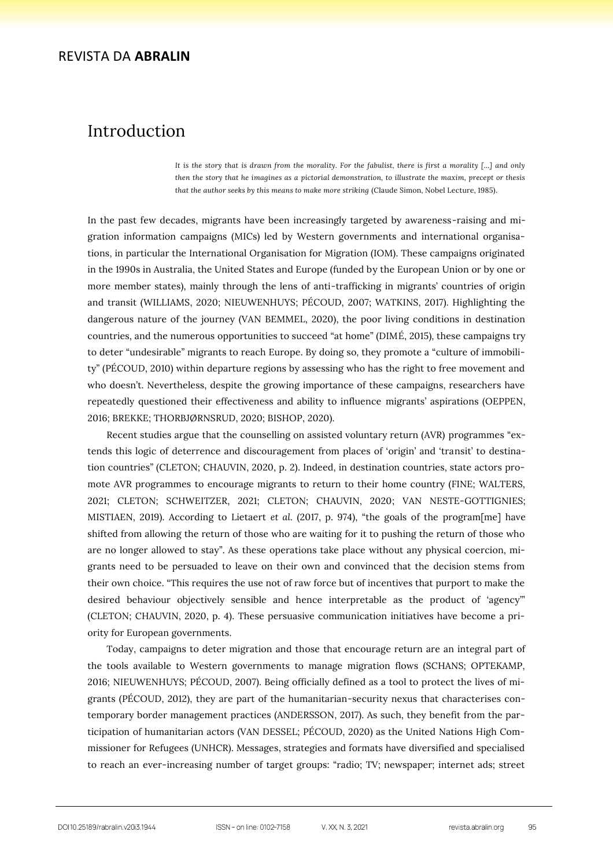# Introduction

*It is the story that is drawn from the morality. For the fabulist, there is first a morality […] and only then the story that he imagines as a pictorial demonstration, to illustrate the maxim, precept or thesis that the author seeks by this means to make more striking* (Claude Simon, Nobel Lecture, 1985).

In the past few decades, migrants have been increasingly targeted by awareness-raising and migration information campaigns (MICs) led by Western governments and international organisations, in particular the International Organisation for Migration (IOM). These campaigns originated in the 1990s in Australia, the United States and Europe (funded by the European Union or by one or more member states), mainly through the lens of anti-trafficking in migrants' countries of origin and transit (WILLIAMS, 2020; NIEUWENHUYS; PÉCOUD, 2007; WATKINS, 2017). Highlighting the dangerous nature of the journey (VAN BEMMEL, 2020), the poor living conditions in destination countries, and the numerous opportunities to succeed "at home" (DIMÉ, 2015), these campaigns try to deter "undesirable" migrants to reach Europe. By doing so, they promote a "culture of immobility" (PÉCOUD, 2010) within departure regions by assessing who has the right to free movement and who doesn't. Nevertheless, despite the growing importance of these campaigns, researchers have repeatedly questioned their effectiveness and ability to influence migrants' aspirations (OEPPEN, 2016; BREKKE; THORBJØRNSRUD, 2020; BISHOP, 2020).

Recent studies argue that the counselling on assisted voluntary return (AVR) programmes "extends this logic of deterrence and discouragement from places of 'origin' and 'transit' to destination countries" (CLETON; CHAUVIN, 2020, p. 2). Indeed, in destination countries, state actors promote AVR programmes to encourage migrants to return to their home country (FINE; WALTERS, 2021; CLETON; SCHWEITZER, 2021; CLETON; CHAUVIN, 2020; VAN NESTE-GOTTIGNIES; MISTIAEN, 2019). According to Lietaert *et al.* (2017, p. 974), "the goals of the program[me] have shifted from allowing the return of those who are waiting for it to pushing the return of those who are no longer allowed to stay". As these operations take place without any physical coercion, migrants need to be persuaded to leave on their own and convinced that the decision stems from their own choice. "This requires the use not of raw force but of incentives that purport to make the desired behaviour objectively sensible and hence interpretable as the product of 'agency'" (CLETON; CHAUVIN, 2020, p. 4). These persuasive communication initiatives have become a priority for European governments.

Today, campaigns to deter migration and those that encourage return are an integral part of the tools available to Western governments to manage migration flows (SCHANS; OPTEKAMP, 2016; NIEUWENHUYS; PÉCOUD, 2007). Being officially defined as a tool to protect the lives of migrants (PÉCOUD, 2012), they are part of the humanitarian-security nexus that characterises contemporary border management practices (ANDERSSON, 2017). As such, they benefit from the participation of humanitarian actors (VAN DESSEL; PÉCOUD, 2020) as the United Nations High Commissioner for Refugees (UNHCR). Messages, strategies and formats have diversified and specialised to reach an ever-increasing number of target groups: "radio; TV; newspaper; internet ads; street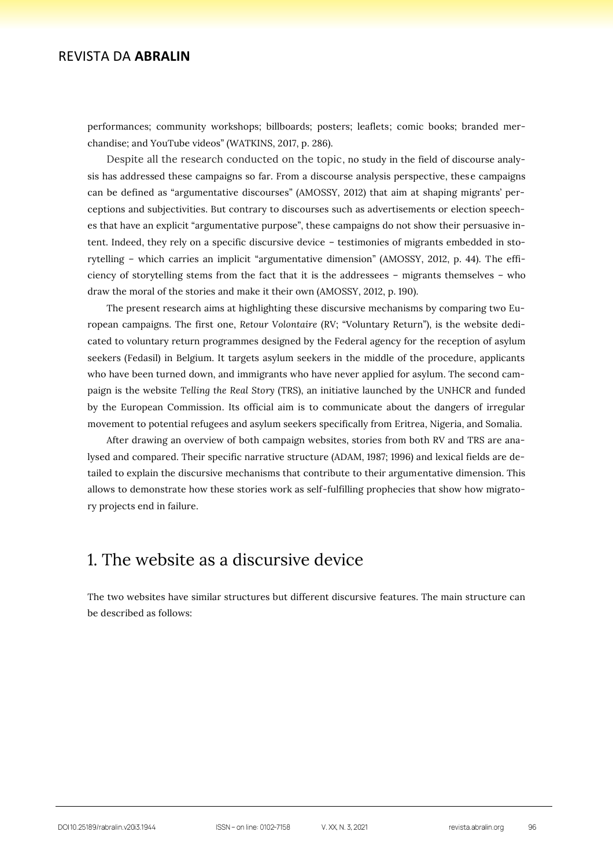performances; community workshops; billboards; posters; leaflets; comic books; branded merchandise; and YouTube videos" (WATKINS, 2017, p. 286).

Despite all the research conducted on the topic, no study in the field of discourse analysis has addressed these campaigns so far. From a discourse analysis perspective, these campaigns can be defined as "argumentative discourses" (AMOSSY, 2012) that aim at shaping migrants' perceptions and subjectivities. But contrary to discourses such as advertisements or election speeches that have an explicit "argumentative purpose", these campaigns do not show their persuasive intent. Indeed, they rely on a specific discursive device – testimonies of migrants embedded in storytelling – which carries an implicit "argumentative dimension" (AMOSSY, 2012, p. 44). The efficiency of storytelling stems from the fact that it is the addressees – migrants themselves – who draw the moral of the stories and make it their own (AMOSSY, 2012, p. 190).

The present research aims at highlighting these discursive mechanisms by comparing two European campaigns. The first one, *Retour Volontaire* (RV; "Voluntary Return"), is the website dedicated to voluntary return programmes designed by the Federal agency for the reception of asylum seekers (Fedasil) in Belgium. It targets asylum seekers in the middle of the procedure, applicants who have been turned down, and immigrants who have never applied for asylum. The second campaign is the website *Telling the Real Story* (TRS), an initiative launched by the UNHCR and funded by the European Commission. Its official aim is to communicate about the dangers of irregular movement to potential refugees and asylum seekers specifically from Eritrea, Nigeria, and Somalia.

After drawing an overview of both campaign websites, stories from both RV and TRS are analysed and compared. Their specific narrative structure (ADAM, 1987; 1996) and lexical fields are detailed to explain the discursive mechanisms that contribute to their argumentative dimension. This allows to demonstrate how these stories work as self-fulfilling prophecies that show how migratory projects end in failure.

# 1. The website as a discursive device

The two websites have similar structures but different discursive features. The main structure can be described as follows: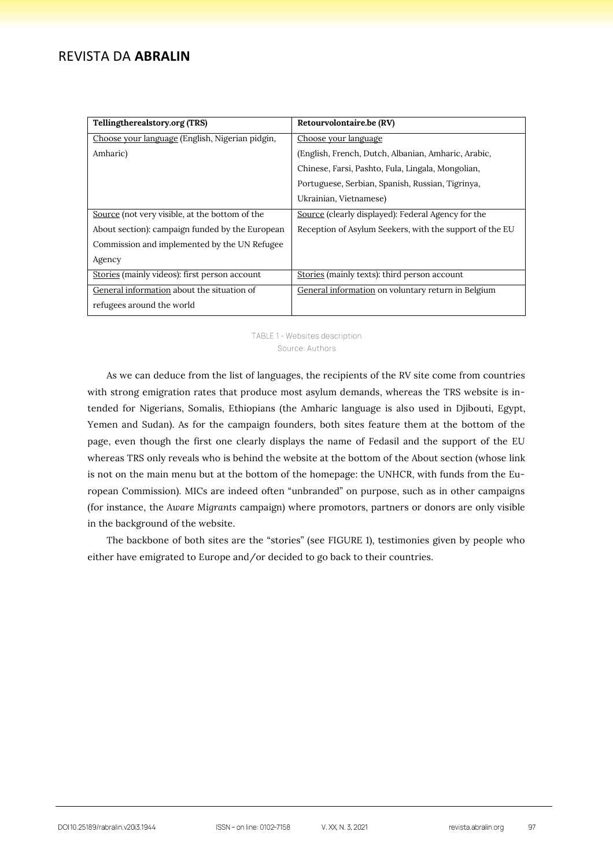| Tellingtherealstory.org (TRS)                   | Retourvolontaire.be (RV)                                |
|-------------------------------------------------|---------------------------------------------------------|
| Choose your language (English, Nigerian pidgin, | Choose your language                                    |
| Amharic)                                        | (English, French, Dutch, Albanian, Amharic, Arabic,     |
|                                                 | Chinese, Farsi, Pashto, Fula, Lingala, Mongolian,       |
|                                                 | Portuguese, Serbian, Spanish, Russian, Tigrinya,        |
|                                                 | Ukrainian, Vietnamese)                                  |
| Source (not very visible, at the bottom of the  | Source (clearly displayed): Federal Agency for the      |
| About section): campaign funded by the European | Reception of Asylum Seekers, with the support of the EU |
| Commission and implemented by the UN Refugee    |                                                         |
| Agency                                          |                                                         |
| Stories (mainly videos): first person account   | Stories (mainly texts): third person account            |
| General information about the situation of      | General information on voluntary return in Belgium      |
| refugees around the world                       |                                                         |

#### TABLE 1 - Websites description Source: Authors

As we can deduce from the list of languages, the recipients of the RV site come from countries with strong emigration rates that produce most asylum demands, whereas the TRS website is intended for Nigerians, Somalis, Ethiopians (the Amharic language is also used in Djibouti, Egypt, Yemen and Sudan). As for the campaign founders, both sites feature them at the bottom of the page, even though the first one clearly displays the name of Fedasil and the support of the EU whereas TRS only reveals who is behind the website at the bottom of the About section (whose link is not on the main menu but at the bottom of the homepage: the UNHCR, with funds from the European Commission). MICs are indeed often "unbranded" on purpose, such as in other campaigns (for instance, the *Aware Migrants* campaign) where promotors, partners or donors are only visible in the background of the website.

The backbone of both sites are the "stories" (see FIGURE 1), testimonies given by people who either have emigrated to Europe and/or decided to go back to their countries.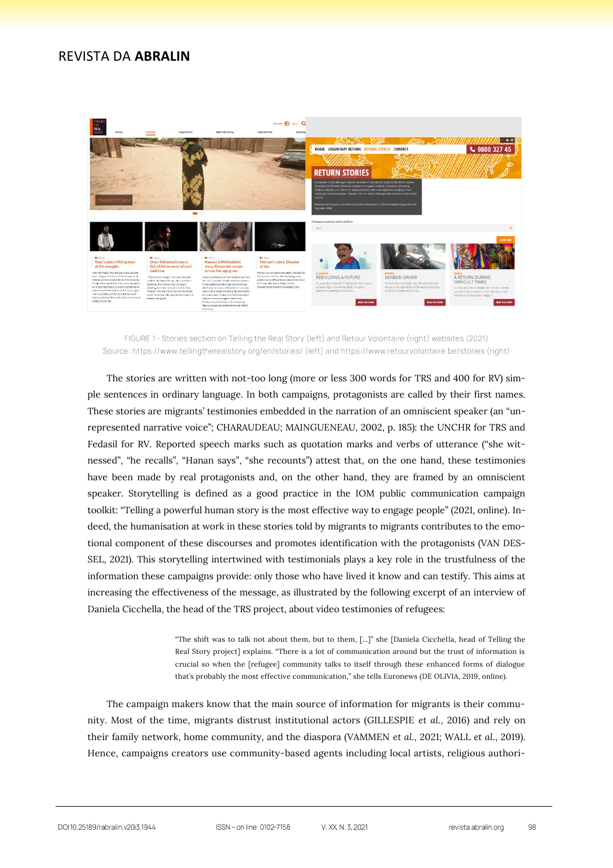

FIGURE 1 - Stories section on Telling the Real Story (left) and Retour Volontaire (right) websites (2021) Source: https://www.tellingtherealstory.org/en/stories/ (left) and https://www.retourvolontaire.be/stories (right)

The stories are written with not-too long (more or less 300 words for TRS and 400 for RV) simple sentences in ordinary language. In both campaigns, protagonists are called by their first names. These stories are migrants' testimonies embedded in the narration of an omniscient speaker (an "unrepresented narrative voice"; CHARAUDEAU; MAINGUENEAU, 2002, p. 185): the UNCHR for TRS and Fedasil for RV. Reported speech marks such as quotation marks and verbs of utterance ("she witnessed", "he recalls", "Hanan says", "she recounts") attest that, on the one hand, these testimonies have been made by real protagonists and, on the other hand, they are framed by an omniscient speaker. Storytelling is defined as a good practice in the IOM public communication campaign toolkit: "Telling a powerful human story is the most effective way to engage people" (2021, online). Indeed, the humanisation at work in these stories told by migrants to migrants contributes to the emotional component of these discourses and promotes identification with the protagonists (VAN DES-SEL, 2021). This storytelling intertwined with testimonials plays a key role in the trustfulness of the information these campaigns provide: only those who have lived it know and can testify. This aims at increasing the effectiveness of the message, as illustrated by the following excerpt of an interview of Daniela Cicchella, the head of the TRS project, about video testimonies of refugees:

> "The shift was to talk not about them, but to them, [...]" she [Daniela Cicchella, head of Telling the Real Story project] explains. "There is a lot of communication around but the trust of information is crucial so when the [refugee] community talks to itself through these enhanced forms of dialogue that's probably the most effective communication," she tells Euronews (DE OLIVIA, 2019, online).

The campaign makers know that the main source of information for migrants is their community. Most of the time, migrants distrust institutional actors (GILLESPIE *et al.*, 2016) and rely on their family network, home community, and the diaspora (VAMMEN *et al.*, 2021; WALL *et al.*, 2019). Hence, campaigns creators use community-based agents including local artists, religious authori-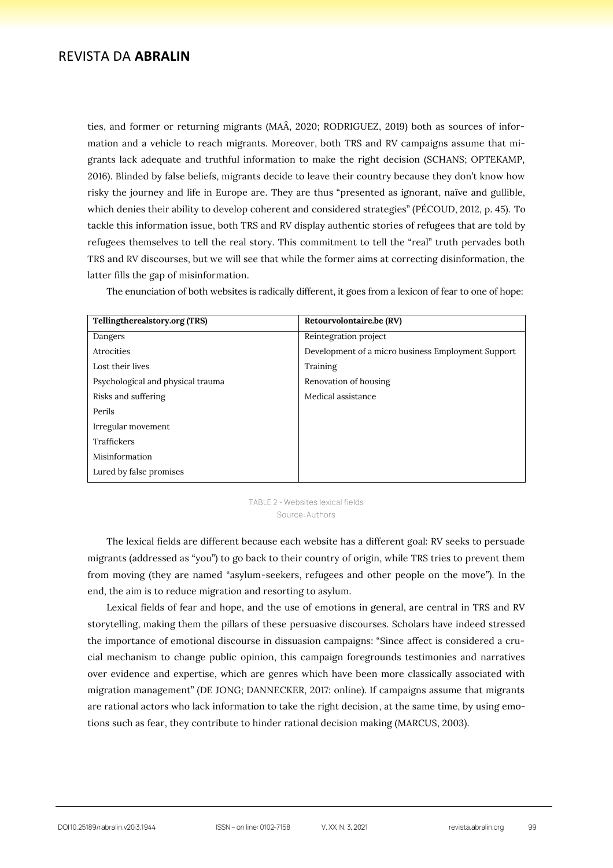ties, and former or returning migrants (MAÂ, 2020; RODRIGUEZ, 2019) both as sources of information and a vehicle to reach migrants. Moreover, both TRS and RV campaigns assume that migrants lack adequate and truthful information to make the right decision (SCHANS; OPTEKAMP, 2016). Blinded by false beliefs, migrants decide to leave their country because they don't know how risky the journey and life in Europe are. They are thus "presented as ignorant, naïve and gullible, which denies their ability to develop coherent and considered strategies" (PÉCOUD, 2012, p. 45). To tackle this information issue, both TRS and RV display authentic stories of refugees that are told by refugees themselves to tell the real story. This commitment to tell the "real" truth pervades both TRS and RV discourses, but we will see that while the former aims at correcting disinformation, the latter fills the gap of misinformation.

The enunciation of both websites is radically different, it goes from a lexicon of fear to one of hope:

| Tellingtherealstory.org (TRS)     | Retourvolontaire.be (RV)                           |
|-----------------------------------|----------------------------------------------------|
| Dangers                           | Reintegration project                              |
| Atrocities                        | Development of a micro business Employment Support |
| Lost their lives                  | Training                                           |
| Psychological and physical trauma | Renovation of housing                              |
| Risks and suffering               | Medical assistance                                 |
| Perils                            |                                                    |
| Irregular movement                |                                                    |
| Traffickers                       |                                                    |
| Misinformation                    |                                                    |
| Lured by false promises           |                                                    |

TABLE 2 - Websites lexical fields Source: Authors

The lexical fields are different because each website has a different goal: RV seeks to persuade migrants (addressed as "you") to go back to their country of origin, while TRS tries to prevent them from moving (they are named "asylum-seekers, refugees and other people on the move"). In the end, the aim is to reduce migration and resorting to asylum.

Lexical fields of fear and hope, and the use of emotions in general, are central in TRS and RV storytelling, making them the pillars of these persuasive discourses. Scholars have indeed stressed the importance of emotional discourse in dissuasion campaigns: "Since affect is considered a crucial mechanism to change public opinion, this campaign foregrounds testimonies and narratives over evidence and expertise, which are genres which have been more classically associated with migration management" (DE JONG; DANNECKER, 2017: online). If campaigns assume that migrants are rational actors who lack information to take the right decision, at the same time, by using emotions such as fear, they contribute to hinder rational decision making (MARCUS, 2003).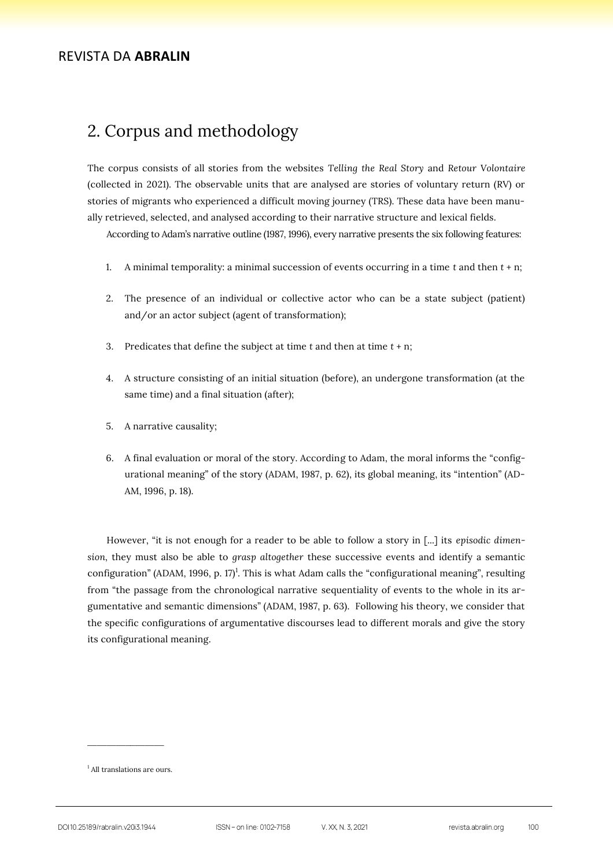# 2. Corpus and methodology

The corpus consists of all stories from the websites *Telling the Real Story* and *Retour Volontaire* (collected in 2021). The observable units that are analysed are stories of voluntary return (RV) or stories of migrants who experienced a difficult moving journey (TRS). These data have been manually retrieved, selected, and analysed according to their narrative structure and lexical fields.

According to Adam's narrative outline (1987, 1996), every narrative presents the six following features:

- 1. A minimal temporality: a minimal succession of events occurring in a time *t* and then *t* + n;
- 2. The presence of an individual or collective actor who can be a state subject (patient) and/or an actor subject (agent of transformation);
- 3. Predicates that define the subject at time *t* and then at time *t* + n;
- 4. A structure consisting of an initial situation (before), an undergone transformation (at the same time) and a final situation (after);
- 5. A narrative causality;
- 6. A final evaluation or moral of the story. According to Adam, the moral informs the "configurational meaning" of the story (ADAM, 1987, p. 62), its global meaning, its "intention" (AD-AM, 1996, p. 18).

However, "it is not enough for a reader to be able to follow a story in [...] its *episodic dimension,* they must also be able to *grasp altogether* these successive events and identify a semantic configuration" (ADAM, 1996, p. 17)<sup>1</sup>. This is what Adam calls the "configurational meaning", resulting from "the passage from the chronological narrative sequentiality of events to the whole in its argumentative and semantic dimensions" (ADAM, 1987, p. 63). Following his theory, we consider that the specific configurations of argumentative discourses lead to different morals and give the story its configurational meaning.

<sup>&</sup>lt;sup>1</sup> All translations are ours.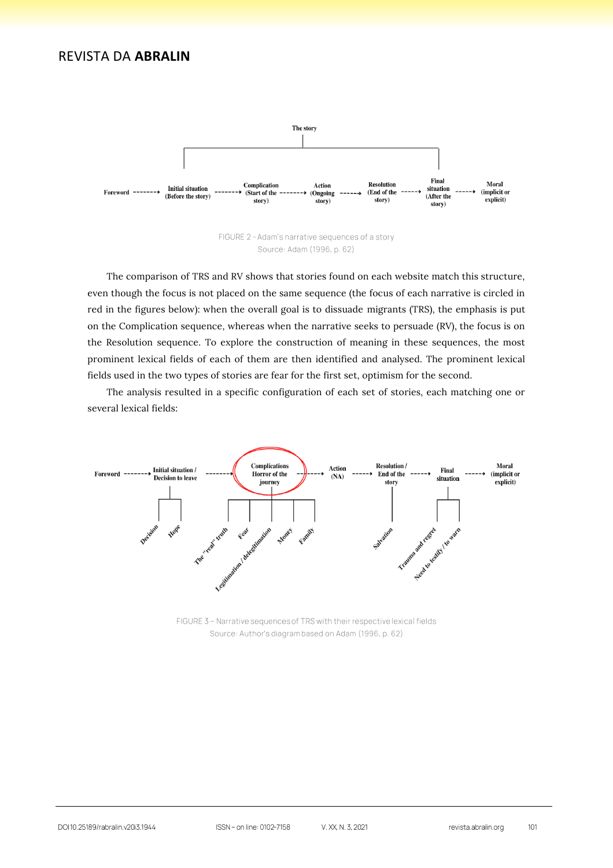

The comparison of TRS and RV shows that stories found on each website match this structure, even though the focus is not placed on the same sequence (the focus of each narrative is circled in red in the figures below): when the overall goal is to dissuade migrants (TRS), the emphasis is put on the Complication sequence, whereas when the narrative seeks to persuade (RV), the focus is on the Resolution sequence. To explore the construction of meaning in these sequences, the most prominent lexical fields of each of them are then identified and analysed. The prominent lexical fields used in the two types of stories are fear for the first set, optimism for the second.

The analysis resulted in a specific configuration of each set of stories, each matching one or several lexical fields:



FIGURE 3 - Narrative sequences of TRS with their respective lexical fields Source: Author's diagram based on Adam (1996, p. 62)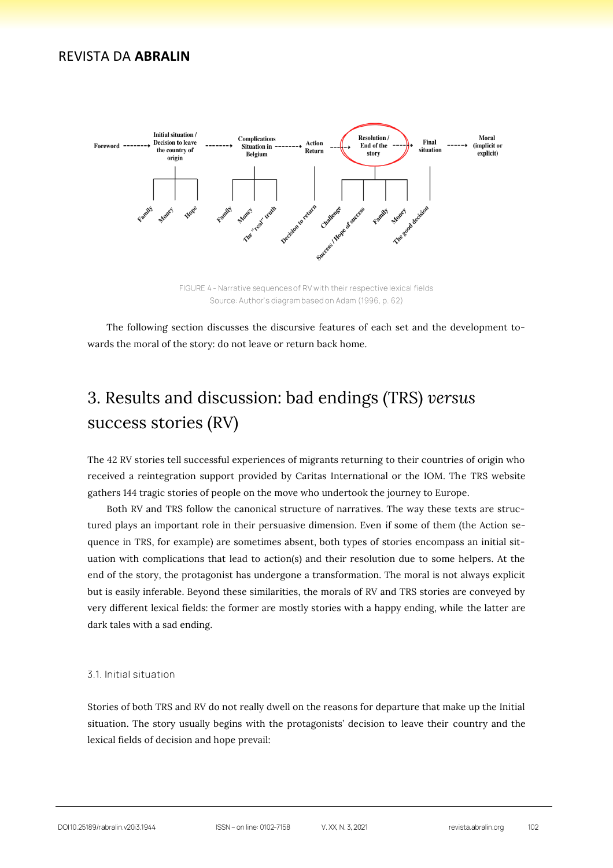

The following section discusses the discursive features of each set and the development towards the moral of the story: do not leave or return back home.

# 3. Results and discussion: bad endings (TRS) *versus* success stories (RV)

The 42 RV stories tell successful experiences of migrants returning to their countries of origin who received a reintegration support provided by Caritas International or the IOM. The TRS website gathers 144 tragic stories of people on the move who undertook the journey to Europe.

Both RV and TRS follow the canonical structure of narratives. The way these texts are structured plays an important role in their persuasive dimension. Even if some of them (the Action sequence in TRS, for example) are sometimes absent, both types of stories encompass an initial situation with complications that lead to action(s) and their resolution due to some helpers. At the end of the story, the protagonist has undergone a transformation. The moral is not always explicit but is easily inferable. Beyond these similarities, the morals of RV and TRS stories are conveyed by very different lexical fields: the former are mostly stories with a happy ending, while the latter are dark tales with a sad ending.

#### 3.1. Initial situation

Stories of both TRS and RV do not really dwell on the reasons for departure that make up the Initial situation. The story usually begins with the protagonists' decision to leave their country and the lexical fields of decision and hope prevail: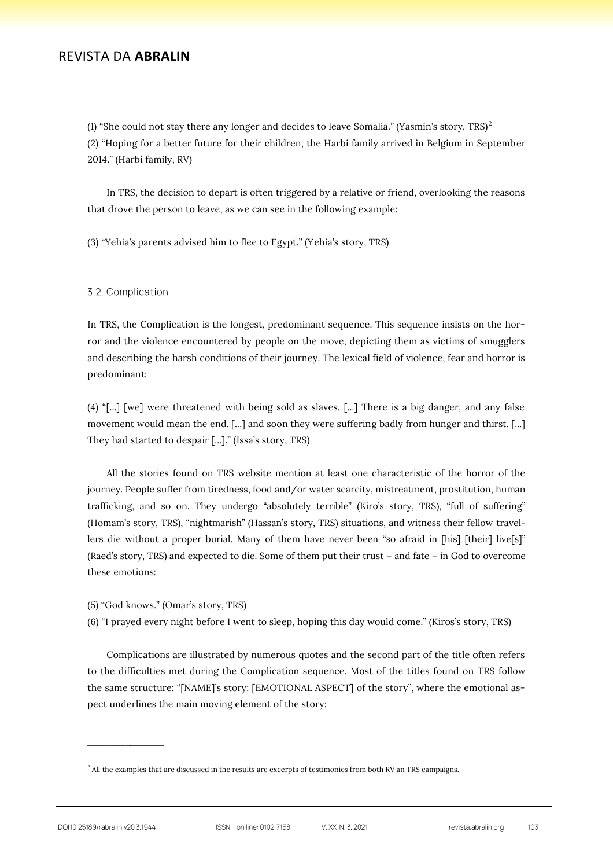(1) "She could not stay there any longer and decides to leave Somalia." (Yasmin's story, TRS)<sup>2</sup> (2) "Hoping for a better future for their children, the Harbi family arrived in Belgium in September 2014." (Harbi family, RV)

In TRS, the decision to depart is often triggered by a relative or friend, overlooking the reasons that drove the person to leave, as we can see in the following example:

(3) "Yehia's parents advised him to flee to Egypt." (Yehia's story, TRS)

#### 3.2. Complication

In TRS, the Complication is the longest, predominant sequence. This sequence insists on the horror and the violence encountered by people on the move, depicting them as victims of smugglers and describing the harsh conditions of their journey. The lexical field of violence, fear and horror is predominant:

(4) "[...] [we] were threatened with being sold as slaves. [...] There is a big danger, and any false movement would mean the end. [...] and soon they were suffering badly from hunger and thirst. [...] They had started to despair [...]." (Issa's story, TRS)

All the stories found on TRS website mention at least one characteristic of the horror of the journey. People suffer from tiredness, food and/or water scarcity, mistreatment, prostitution, human trafficking, and so on. They undergo "absolutely terrible" (Kiro's story, TRS), "full of suffering" (Homam's story, TRS), "nightmarish" (Hassan's story, TRS) situations, and witness their fellow travellers die without a proper burial. Many of them have never been "so afraid in [his] [their] live[s]" (Raed's story, TRS) and expected to die. Some of them put their trust – and fate – in God to overcome these emotions:

- (5) "God knows." (Omar's story, TRS)
- (6) "I prayed every night before I went to sleep, hoping this day would come." (Kiros's story, TRS)

Complications are illustrated by numerous quotes and the second part of the title often refers to the difficulties met during the Complication sequence. Most of the titles found on TRS follow the same structure: "[NAME]'s story: [EMOTIONAL ASPECT] of the story", where the emotional aspect underlines the main moving element of the story:

<sup>&</sup>lt;sup>2</sup> All the examples that are discussed in the results are excerpts of testimonies from both RV an TRS campaigns.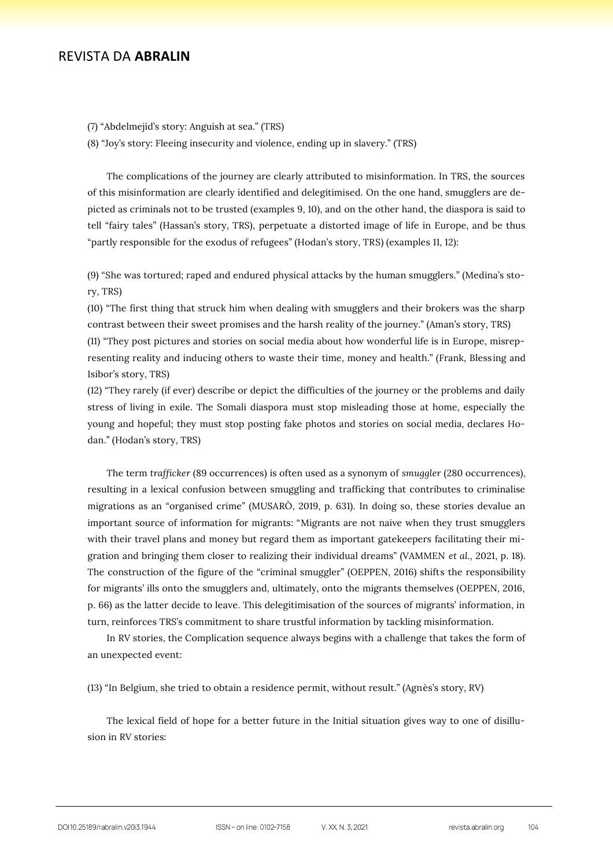(7) "Abdelmejid's story: Anguish at sea." (TRS)

(8) "Joy's story: Fleeing insecurity and violence, ending up in slavery." (TRS)

The complications of the journey are clearly attributed to misinformation. In TRS, the sources of this misinformation are clearly identified and delegitimised. On the one hand, smugglers are depicted as criminals not to be trusted (examples 9, 10), and on the other hand, the diaspora is said to tell "fairy tales" (Hassan's story, TRS), perpetuate a distorted image of life in Europe, and be thus "partly responsible for the exodus of refugees" (Hodan's story, TRS) (examples 11, 12):

(9) "She was tortured; raped and endured physical attacks by the human smugglers." (Medina's story, TRS)

(10) "The first thing that struck him when dealing with smugglers and their brokers was the sharp contrast between their sweet promises and the harsh reality of the journey." (Aman's story, TRS)

(11) "They post pictures and stories on social media about how wonderful life is in Europe, misrepresenting reality and inducing others to waste their time, money and health." (Frank, Blessing and Isibor's story, TRS)

(12) "They rarely (if ever) describe or depict the difficulties of the journey or the problems and daily stress of living in exile. The Somali diaspora must stop misleading those at home, especially the young and hopeful; they must stop posting fake photos and stories on social media, declares Hodan." (Hodan's story, TRS)

The term *trafficker* (89 occurrences) is often used as a synonym of *smuggler* (280 occurrences)*,*  resulting in a lexical confusion between smuggling and trafficking that contributes to criminalise migrations as an "organised crime" (MUSARÒ, 2019, p. 631). In doing so, these stories devalue an important source of information for migrants: "Migrants are not naive when they trust smugglers with their travel plans and money but regard them as important gatekeepers facilitating their migration and bringing them closer to realizing their individual dreams" (VAMMEN *et al.*, 2021, p. 18). The construction of the figure of the "criminal smuggler" (OEPPEN, 2016) shifts the responsibility for migrants' ills onto the smugglers and, ultimately, onto the migrants themselves (OEPPEN, 2016, p. 66) as the latter decide to leave. This delegitimisation of the sources of migrants' information, in turn, reinforces TRS's commitment to share trustful information by tackling misinformation.

In RV stories, the Complication sequence always begins with a challenge that takes the form of an unexpected event:

(13) "In Belgium, she tried to obtain a residence permit, without result." (Agnès's story, RV)

The lexical field of hope for a better future in the Initial situation gives way to one of disillusion in RV stories: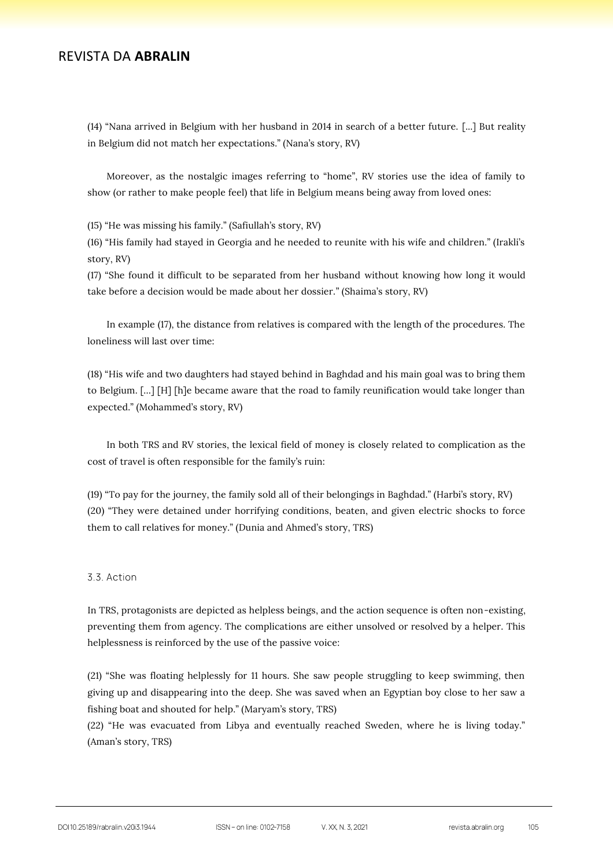(14) "Nana arrived in Belgium with her husband in 2014 in search of a better future. [...] But reality in Belgium did not match her expectations." (Nana's story, RV)

Moreover, as the nostalgic images referring to "home", RV stories use the idea of family to show (or rather to make people feel) that life in Belgium means being away from loved ones:

(15) "He was missing his family." (Safiullah's story, RV)

(16) "His family had stayed in Georgia and he needed to reunite with his wife and children." (Irakli's story, RV)

(17) "She found it difficult to be separated from her husband without knowing how long it would take before a decision would be made about her dossier." (Shaima's story, RV)

In example (17), the distance from relatives is compared with the length of the procedures. The loneliness will last over time:

(18) "His wife and two daughters had stayed behind in Baghdad and his main goal was to bring them to Belgium. […] [H] [h]e became aware that the road to family reunification would take longer than expected." (Mohammed's story, RV)

In both TRS and RV stories, the lexical field of money is closely related to complication as the cost of travel is often responsible for the family's ruin:

(19) "To pay for the journey, the family sold all of their belongings in Baghdad." (Harbi's story, RV) (20) "They were detained under horrifying conditions, beaten, and given electric shocks to force them to call relatives for money." (Dunia and Ahmed's story, TRS)

#### 3.3. Action

In TRS, protagonists are depicted as helpless beings, and the action sequence is often non-existing, preventing them from agency. The complications are either unsolved or resolved by a helper. This helplessness is reinforced by the use of the passive voice:

(21) "She was floating helplessly for 11 hours. She saw people struggling to keep swimming, then giving up and disappearing into the deep. She was saved when an Egyptian boy close to her saw a fishing boat and shouted for help." (Maryam's story, TRS)

(22) "He was evacuated from Libya and eventually reached Sweden, where he is living today." (Aman's story, TRS)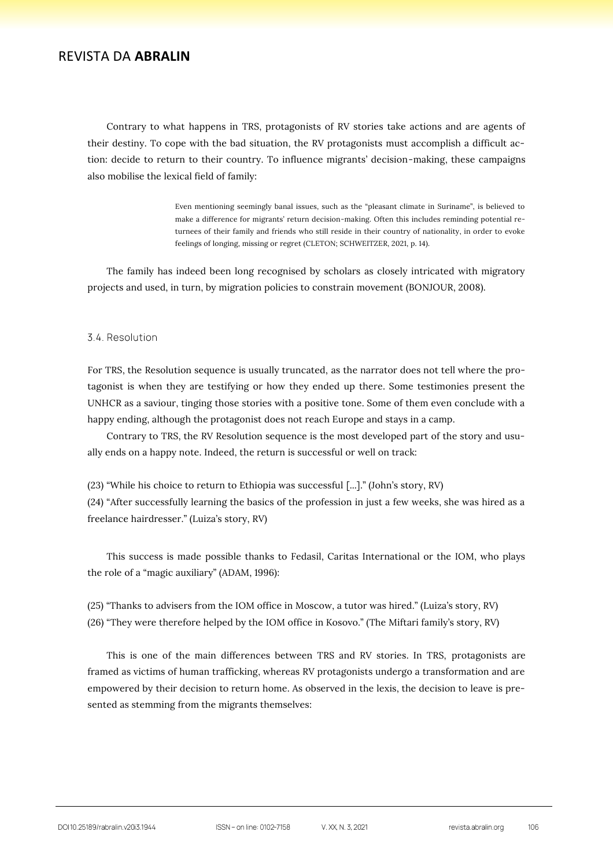Contrary to what happens in TRS, protagonists of RV stories take actions and are agents of their destiny. To cope with the bad situation, the RV protagonists must accomplish a difficult action: decide to return to their country. To influence migrants' decision-making, these campaigns also mobilise the lexical field of family:

> Even mentioning seemingly banal issues, such as the "pleasant climate in Suriname", is believed to make a difference for migrants' return decision-making. Often this includes reminding potential returnees of their family and friends who still reside in their country of nationality, in order to evoke feelings of longing, missing or regret (CLETON; SCHWEITZER, 2021, p. 14).

The family has indeed been long recognised by scholars as closely intricated with migratory projects and used, in turn, by migration policies to constrain movement (BONJOUR, 2008).

#### 3.4. Resolution

For TRS, the Resolution sequence is usually truncated, as the narrator does not tell where the protagonist is when they are testifying or how they ended up there. Some testimonies present the UNHCR as a saviour, tinging those stories with a positive tone. Some of them even conclude with a happy ending, although the protagonist does not reach Europe and stays in a camp.

Contrary to TRS, the RV Resolution sequence is the most developed part of the story and usually ends on a happy note. Indeed, the return is successful or well on track:

(23) "While his choice to return to Ethiopia was successful [...]." (John's story, RV) (24) "After successfully learning the basics of the profession in just a few weeks, she was hired as a freelance hairdresser." (Luiza's story, RV)

This success is made possible thanks to Fedasil, Caritas International or the IOM, who plays the role of a "magic auxiliary" (ADAM, 1996):

(25) "Thanks to advisers from the IOM office in Moscow, a tutor was hired." (Luiza's story, RV) (26) "They were therefore helped by the IOM office in Kosovo." (The Miftari family's story, RV)

This is one of the main differences between TRS and RV stories. In TRS, protagonists are framed as victims of human trafficking, whereas RV protagonists undergo a transformation and are empowered by their decision to return home. As observed in the lexis, the decision to leave is presented as stemming from the migrants themselves: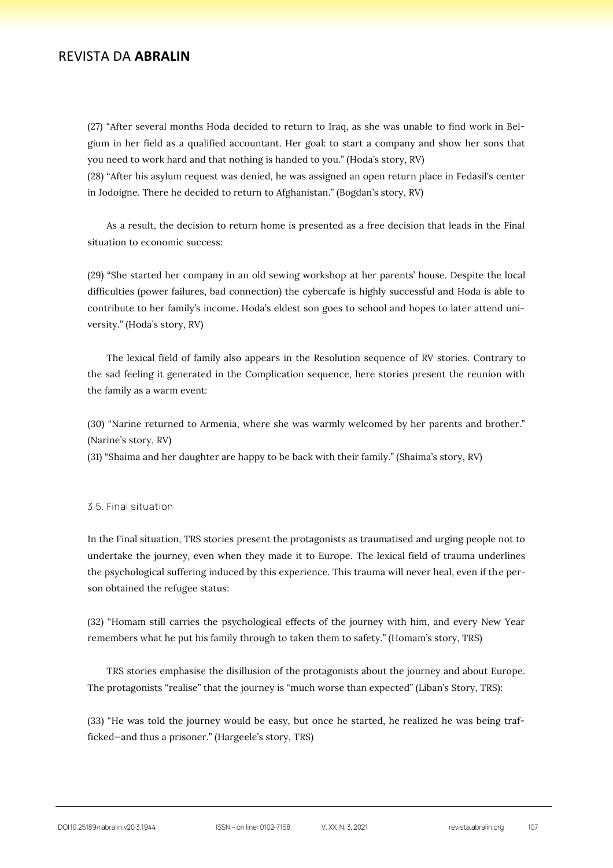(27) "After several months Hoda decided to return to Iraq, as she was unable to find work in Belgium in her field as a qualified accountant. Her goal: to start a company and show her sons that you need to work hard and that nothing is handed to you." (Hoda's story, RV)

(28) "After his asylum request was denied, he was assigned an open return place in Fedasil's center in Jodoigne. There he decided to return to Afghanistan." (Bogdan's story, RV)

As a result, the decision to return home is presented as a free decision that leads in the Final situation to economic success:

(29) "She started her company in an old sewing workshop at her parents' house. Despite the local difficulties (power failures, bad connection) the cybercafe is highly successful and Hoda is able to contribute to her family's income. Hoda's eldest son goes to school and hopes to later attend university." (Hoda's story, RV)

The lexical field of family also appears in the Resolution sequence of RV stories. Contrary to the sad feeling it generated in the Complication sequence, here stories present the reunion with the family as a warm event:

(30) "Narine returned to Armenia, where she was warmly welcomed by her parents and brother." (Narine's story, RV)

(31) "Shaima and her daughter are happy to be back with their family." (Shaima's story, RV)

#### 3.5. Final situation

In the Final situation, TRS stories present the protagonists as traumatised and urging people not to undertake the journey, even when they made it to Europe. The lexical field of trauma underlines the psychological suffering induced by this experience. This trauma will never heal, even if the person obtained the refugee status:

(32) "Homam still carries the psychological effects of the journey with him, and every New Year remembers what he put his family through to taken them to safety." (Homam's story, TRS)

TRS stories emphasise the disillusion of the protagonists about the journey and about Europe. The protagonists "realise" that the journey is "much worse than expected" (Liban's Story, TRS):

(33) "He was told the journey would be easy, but once he started, he realized he was being trafficked—and thus a prisoner." (Hargeele's story, TRS)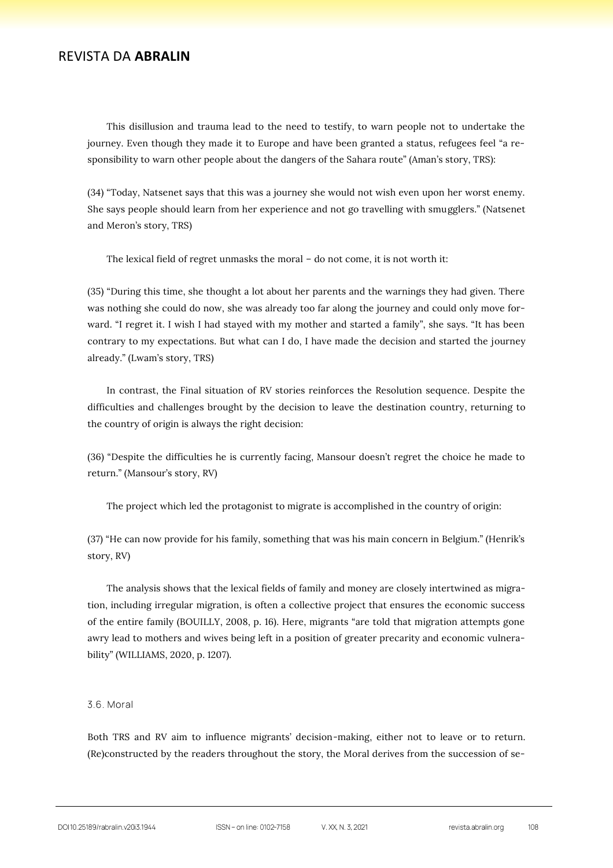This disillusion and trauma lead to the need to testify, to warn people not to undertake the journey. Even though they made it to Europe and have been granted a status, refugees feel "a responsibility to warn other people about the dangers of the Sahara route" (Aman's story, TRS):

(34) "Today, Natsenet says that this was a journey she would not wish even upon her worst enemy. She says people should learn from her experience and not go travelling with smugglers." (Natsenet and Meron's story, TRS)

The lexical field of regret unmasks the moral – do not come, it is not worth it:

(35) "During this time, she thought a lot about her parents and the warnings they had given. There was nothing she could do now, she was already too far along the journey and could only move forward. "I regret it. I wish I had stayed with my mother and started a family", she says. "It has been contrary to my expectations. But what can I do, I have made the decision and started the journey already." (Lwam's story, TRS)

In contrast, the Final situation of RV stories reinforces the Resolution sequence. Despite the difficulties and challenges brought by the decision to leave the destination country, returning to the country of origin is always the right decision:

(36) "Despite the difficulties he is currently facing, Mansour doesn't regret the choice he made to return." (Mansour's story, RV)

The project which led the protagonist to migrate is accomplished in the country of origin:

(37) "He can now provide for his family, something that was his main concern in Belgium." (Henrik's story, RV)

The analysis shows that the lexical fields of family and money are closely intertwined as migration, including irregular migration, is often a collective project that ensures the economic success of the entire family (BOUILLY, 2008, p. 16). Here, migrants "are told that migration attempts gone awry lead to mothers and wives being left in a position of greater precarity and economic vulnerability" (WILLIAMS, 2020, p. 1207).

#### 3.6. Moral

Both TRS and RV aim to influence migrants' decision-making, either not to leave or to return. (Re)constructed by the readers throughout the story, the Moral derives from the succession of se-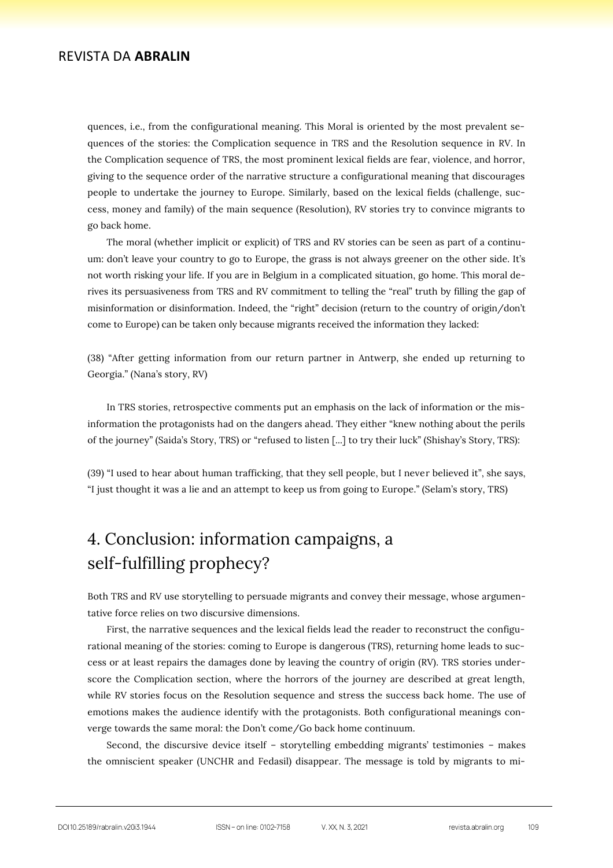quences, i.e., from the configurational meaning. This Moral is oriented by the most prevalent sequences of the stories: the Complication sequence in TRS and the Resolution sequence in RV. In the Complication sequence of TRS, the most prominent lexical fields are fear, violence, and horror, giving to the sequence order of the narrative structure a configurational meaning that discourages people to undertake the journey to Europe. Similarly, based on the lexical fields (challenge, success, money and family) of the main sequence (Resolution), RV stories try to convince migrants to go back home.

The moral (whether implicit or explicit) of TRS and RV stories can be seen as part of a continuum: don't leave your country to go to Europe, the grass is not always greener on the other side. It's not worth risking your life. If you are in Belgium in a complicated situation, go home. This moral derives its persuasiveness from TRS and RV commitment to telling the "real" truth by filling the gap of misinformation or disinformation. Indeed, the "right" decision (return to the country of origin/don't come to Europe) can be taken only because migrants received the information they lacked:

(38) "After getting information from our return partner in Antwerp, she ended up returning to Georgia." (Nana's story, RV)

In TRS stories, retrospective comments put an emphasis on the lack of information or the misinformation the protagonists had on the dangers ahead. They either "knew nothing about the perils of the journey" (Saida's Story, TRS) or "refused to listen [...] to try their luck" (Shishay's Story, TRS):

(39) "I used to hear about human trafficking, that they sell people, but I never believed it", she says, "I just thought it was a lie and an attempt to keep us from going to Europe." (Selam's story, TRS)

# 4. Conclusion: information campaigns, a self-fulfilling prophecy?

Both TRS and RV use storytelling to persuade migrants and convey their message, whose argumentative force relies on two discursive dimensions.

First, the narrative sequences and the lexical fields lead the reader to reconstruct the configurational meaning of the stories: coming to Europe is dangerous (TRS), returning home leads to success or at least repairs the damages done by leaving the country of origin (RV). TRS stories underscore the Complication section, where the horrors of the journey are described at great length, while RV stories focus on the Resolution sequence and stress the success back home. The use of emotions makes the audience identify with the protagonists. Both configurational meanings converge towards the same moral: the Don't come/Go back home continuum.

Second, the discursive device itself – storytelling embedding migrants' testimonies – makes the omniscient speaker (UNCHR and Fedasil) disappear. The message is told by migrants to mi-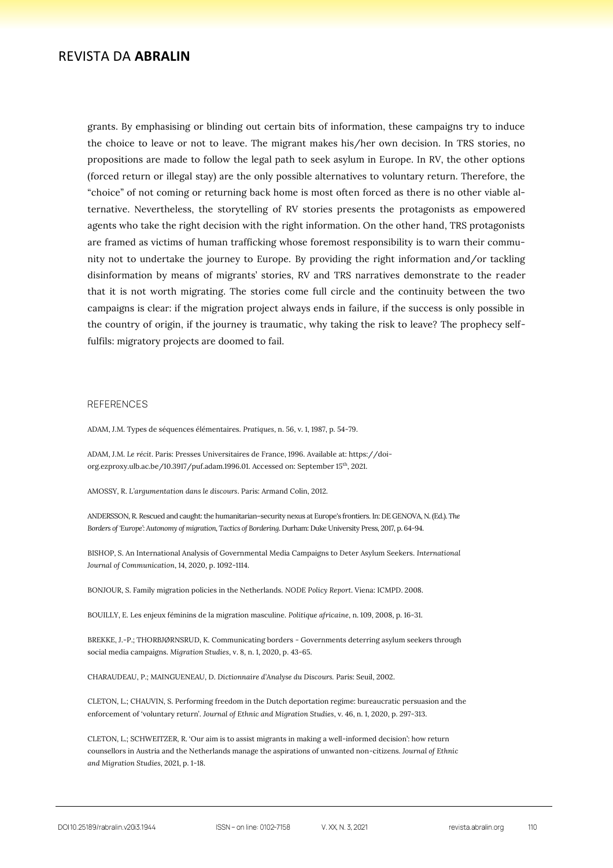grants. By emphasising or blinding out certain bits of information, these campaigns try to induce the choice to leave or not to leave. The migrant makes his/her own decision. In TRS stories, no propositions are made to follow the legal path to seek asylum in Europe. In RV, the other options (forced return or illegal stay) are the only possible alternatives to voluntary return. Therefore, the "choice" of not coming or returning back home is most often forced as there is no other viable alternative. Nevertheless, the storytelling of RV stories presents the protagonists as empowered agents who take the right decision with the right information. On the other hand, TRS protagonists are framed as victims of human trafficking whose foremost responsibility is to warn their community not to undertake the journey to Europe. By providing the right information and/or tackling disinformation by means of migrants' stories, RV and TRS narratives demonstrate to the reader that it is not worth migrating. The stories come full circle and the continuity between the two campaigns is clear: if the migration project always ends in failure, if the success is only possible in the country of origin, if the journey is traumatic, why taking the risk to leave? The prophecy selffulfils: migratory projects are doomed to fail.

#### **REFERENCES**

ADAM, J.M. Types de séquences élémentaires. *Pratiques*, n. 56, v. 1, 1987, p. 54-79.

ADAM, J.M. *Le récit*. Paris: Presses Universitaires de France, 1996. Available at: https://doiorg.ezproxy.ulb.ac.be/10.3917/puf.adam.1996.01. Accessed on: September 15th, 2021.

AMOSSY, R. *L'argumentation dans le discours*. Paris: Armand Colin, 2012.

ANDERSSON, R. Rescued and caught: the humanitarian–security nexus at Europe's frontiers. In: DE GENOVA, N. (Ed.). *The Borders of 'Europe': Autonomy of migration, Tactics of Bordering*. Durham: Duke University Press, 2017, p. 64-94.

BISHOP, S. An International Analysis of Governmental Media Campaigns to Deter Asylum Seekers. *International Journal of Communication*, 14, 2020, p. 1092-1114.

BONJOUR, S. Family migration policies in the Netherlands. *NODE Policy Report*. Viena: ICMPD. 2008.

BOUILLY, E. Les enjeux féminins de la migration masculine. *Politique africaine*, n. 109, 2008, p. 16-31.

BREKKE, J.-P.; THORBJØRNSRUD, K. Communicating borders - Governments deterring asylum seekers through social media campaigns. *Migration Studies*, v. 8, n. 1, 2020, p. 43-65.

CHARAUDEAU, P.; MAINGUENEAU, D. *Dictionnaire d'Analyse du Discours.* Paris: Seuil, 2002.

CLETON, L.; CHAUVIN, S. Performing freedom in the Dutch deportation regime: bureaucratic persuasion and the enforcement of 'voluntary return'. *Journal of Ethnic and Migration Studies*, v. 46, n. 1, 2020, p. 297-313.

CLETON, L.; SCHWEITZER, R. 'Our aim is to assist migrants in making a well-informed decision': how return counsellors in Austria and the Netherlands manage the aspirations of unwanted non-citizens. *Journal of Ethnic and Migration Studies*, 2021, p. 1-18.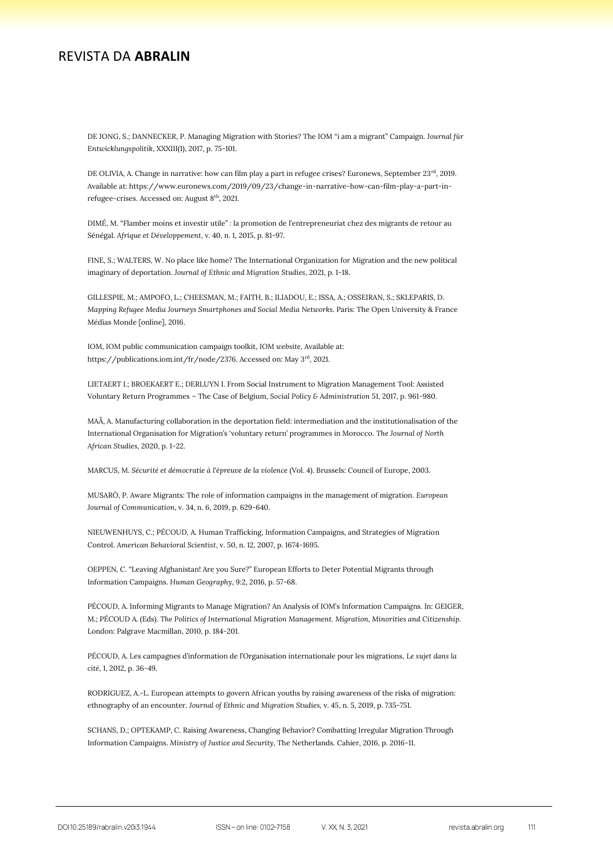DE JONG, S.; DANNECKER, P. Managing Migration with Stories? The IOM "i am a migrant" Campaign. J*ournal für Entwicklungspolitik*, XXXIII(1), 2017, p. 75-101.

DE OLIVIA, A. Change in narrative: how can film play a part in refugee crises? Euronews, September 23<sup>rd</sup>, 2019. Available at: https://www.euronews.com/2019/09/23/change-in-narrative-how-can-film-play-a-part-inrefugee-crises. Accessed on: August $8^{\rm th}, 2021.$ 

DIMÉ, M. "Flamber moins et investir utile" : la promotion de l'entrepreneuriat chez des migrants de retour au Sénégal. *Afrique et Développement*, v. 40, n. 1, 2015, p. 81-97.

FINE, S.; WALTERS, W. No place like home? The International Organization for Migration and the new political imaginary of deportation. *Journal of Ethnic and Migration Studies*, 2021, p. 1-18.

GILLESPIE, M.; AMPOFO, L.; CHEESMAN, M.; FAITH, B.; ILIADOU, E.; ISSA, A.; OSSEIRAN, S.; SKLEPARIS, D. *Mapping Refugee Media Journeys Smartphones and Social Media Networks*. Paris: The Open University & France Médias Monde [online], 2016.

IOM, IOM public communication campaign toolkit, *IOM website*, Available at: https://publications.iom.int/fr/node/2376. Accessed on: May 3<sup>rd</sup>, 2021.

LIETAERT I.; BROEKAERT E.; DERLUYN I. From Social Instrument to Migration Management Tool: Assisted Voluntary Return Programmes – The Case of Belgium, *Social Policy & Administration* 51, 2017, p. 961-980.

MAÂ, A. Manufacturing collaboration in the deportation field: intermediation and the institutionalisation of the International Organisation for Migration's 'voluntary return' programmes in Morocco. *The Journal of North African Studies*, 2020, p. 1-22.

MARCUS, M. *Sécurité et démocratie à l'épreuve de la violence* (Vol. 4). Brussels: Council of Europe, 2003.

MUSARÒ, P. Aware Migrants: The role of information campaigns in the management of migration. *European Journal of Communication*, v. 34, n. 6, 2019, p. 629-640.

NIEUWENHUYS, C.; PÉCOUD, A. Human Trafficking, Information Campaigns, and Strategies of Migration Control. *American Behavioral Scientist*, v. 50, n. 12, 2007, p. 1674-1695.

OEPPEN, C. "Leaving Afghanistan! Are you Sure?" European Efforts to Deter Potential Migrants through Information Campaigns. *Human Geography*, 9:2, 2016, p. 57-68.

PÉCOUD, A. Informing Migrants to Manage Migration? An Analysis of IOM's Information Campaigns. In: GEIGER, M.; PÉCOUD A. (Eds). *The Politics of International Migration Management. Migration, Minorities and Citizenship.* London: Palgrave Macmillan, 2010, p. 184-201.

PÉCOUD, A. Les campagnes d'information de l'Organisation internationale pour les migrations, *Le sujet dans la cité*, 1, 2012, p. 36-49.

RODRIGUEZ, A.-L. European attempts to govern African youths by raising awareness of the risks of migration: ethnography of an encounter. *Journal of Ethnic and Migration Studies,* v. 45, n. 5, 2019, p. 735-751.

SCHANS, D.; OPTEKAMP, C. Raising Awareness, Changing Behavior? Combatting Irregular Migration Through Information Campaigns. *Ministry of Justice and Security*, The Netherlands. Cahier, 2016, p. 2016-11.